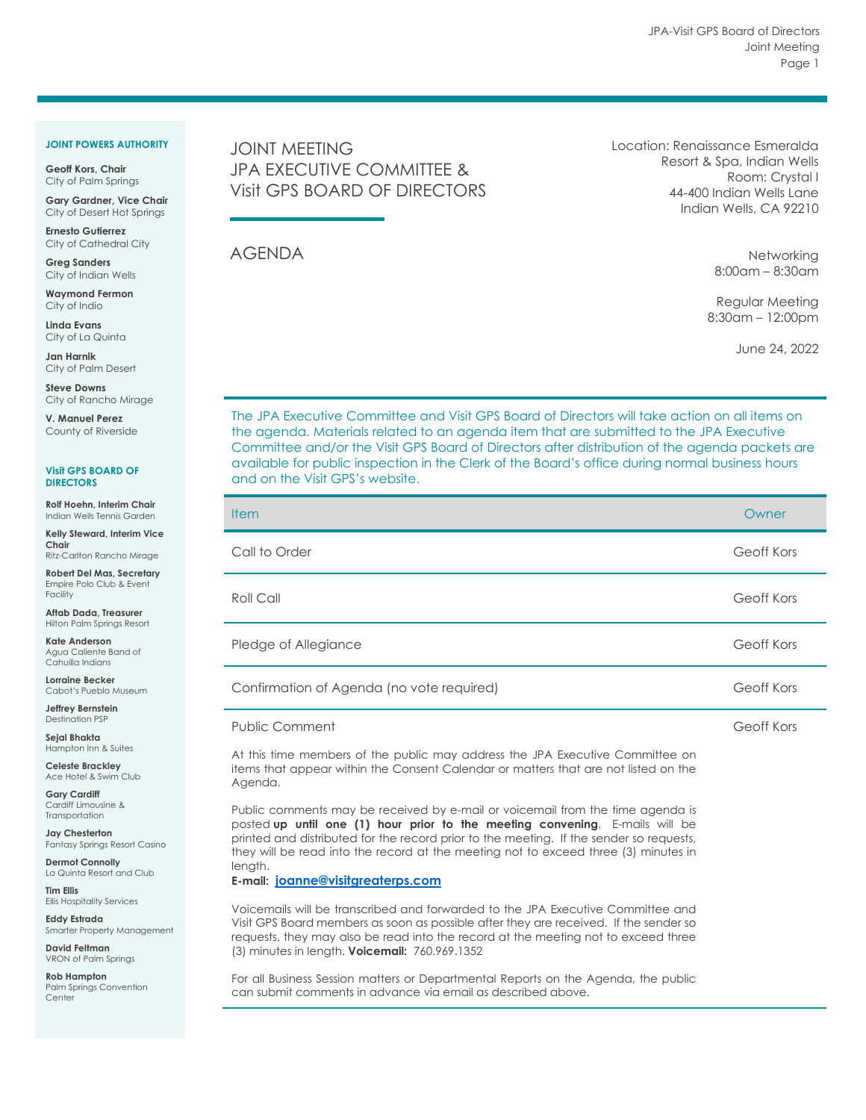## **JOINT POWERS AUTHORITY**

**Geoff Kors, Chair** City of Palm Springs

**Gary Gardner, Vice Chair** City of Desert Hot Springs

**Ernesto Gutierrez** City of Cathedral City

**Greg Sanders** City of Indian Wells

**Waymond Fermon** City of Indio

**Linda Evans** City of La Quinta

**Jan Harnik** City of Palm Desert

**Steve Downs** City of Rancho Mirage

**V. Manuel Perez** County of Riverside

**Visit GPS BOARD OF DIRECTORS**

**Rolf Hoehn, Interim Chair** Indian Wells Tennis Garden

**Kelly Steward, Interim Vice Chair** Ritz-Carlton Rancho Mirage

**Robert Del Mas, Secretary** Empire Polo Club & Event Facility

**Aftab Dada, Treasurer** Hilton Palm Springs Resort

**Kate Anderson** Agua Caliente Band of Cahuilla Indians

**Lorraine Becker** Cabot's Pueblo Museum

**Jeffrey Bernstein** Destination PSP

**Sejal Bhakta** Hampton Inn & Suites

**Celeste Brackley** Ace Hotel & Swim Club

**Gary Cardiff** Cardiff Limousine & **Transportation** 

**Jay Chesterton** Fantasy Springs Resort Casino

**Dermot Connolly** La Quinta Resort and Club

**Tim Ellis** Ellis Hospitality Services

**Eddy Estrada** Smarter Property Management

**David Feltman** VRON of Palm Springs

**Rob Hampton** Palm Springs Convention **Center** 

## JOINT MEETING JPA EXECUTIVE COMMITTEE & Visit GPS BOARD OF DIRECTORS

AGENDA

Location: Renaissance Esmeralda Resort & Spa, Indian Wells Room: Crystal I 44-400 Indian Wells Lane Indian Wells, CA 92210

> **Networking** 8:00am – 8:30am

Regular Meeting 8:30am – 12:00pm

June 24, 2022

The JPA Executive Committee and Visit GPS Board of Directors will take action on all items on the agenda. Materials related to an agenda item that are submitted to the JPA Executive Committee and/or the Visit GPS Board of Directors after distribution of the agenda packets are available for public inspection in the Clerk of the Board's office during normal business hours and on the Visit GPS's website.

| <b>Item</b>                                                                                                                                                                                                                                                                         | Owner      |
|-------------------------------------------------------------------------------------------------------------------------------------------------------------------------------------------------------------------------------------------------------------------------------------|------------|
| Call to Order                                                                                                                                                                                                                                                                       | Geoff Kors |
| Roll Call                                                                                                                                                                                                                                                                           | Geoff Kors |
| Pledge of Allegiance                                                                                                                                                                                                                                                                | Geoff Kors |
| Confirmation of Agenda (no vote required)                                                                                                                                                                                                                                           | Geoff Kors |
| <b>Public Comment</b>                                                                                                                                                                                                                                                               | Geoff Kors |
| At this time members of the public may address the JPA Executive Committee on<br>items that appear within the Consent Calendar or matters that are not listed on the<br>Agenda.                                                                                                     |            |
| Public comments may be received by e-mail or voicemail from the time agenda is<br>posted up until one (1) hour prior to the meeting convening. E-mails will be<br>الملمحان بماجعا المحاجم والمحافظ المتماثلة والمحافظ الملاحظ والمتمح والمتحافظ المحار والملمأام الممتم المحلمانيما |            |

printed and distributed for the record prior to the meeting. If the sender so requests, they will be read into the record at the meeting not to exceed three (3) minutes in length.

## **E-mail: [joanne@visitgreaterps.com](mailto:joanne@visitgreaterps.com)**

Voicemails will be transcribed and forwarded to the JPA Executive Committee and Visit GPS Board members as soon as possible after they are received. If the sender so requests, they may also be read into the record at the meeting not to exceed three (3) minutes in length. **Voicemail:** 760.969.1352

For all Business Session matters or Departmental Reports on the Agenda, the public can submit comments in advance via email as described above.